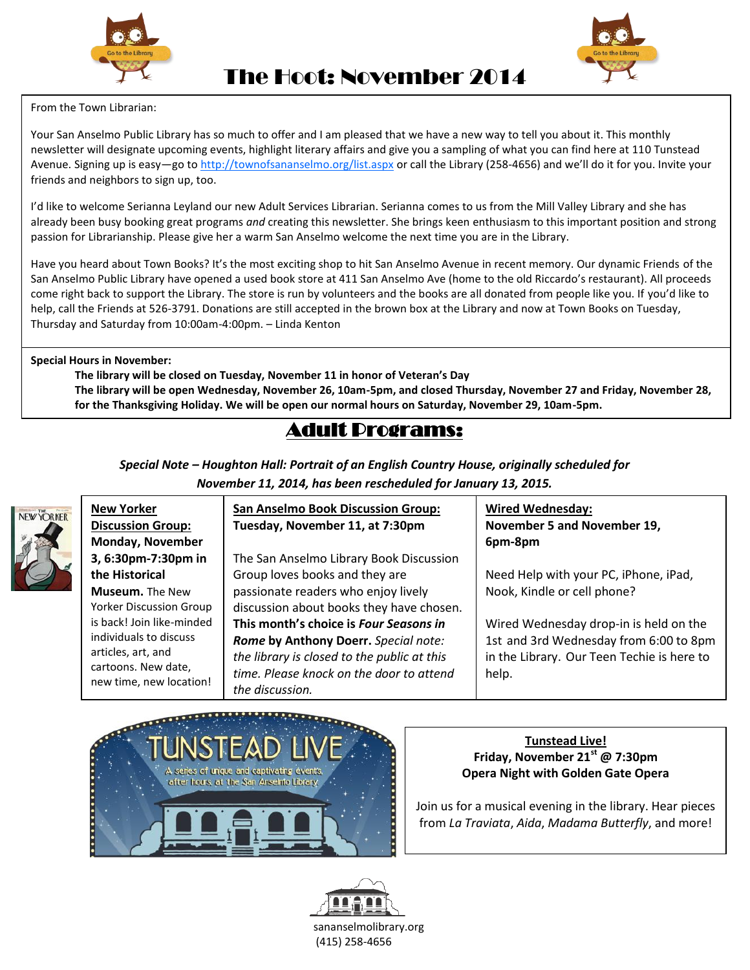



The Hoot: November 2014

## From the Town Librarian:

 Your San Anselmo Public Library has so much to offer and I am pleased that we have a new way to tell you about it. This monthly Avenue. Signing up is easy—go to <u>http://townofsananselmo.org/list.aspx</u> or call the Library (258-4656) and we'll do it for you. Invite your newsletter will designate upcoming events, highlight literary affairs and give you a sampling of what you can find here at 110 Tunstead friends and neighbors to sign up, too.

I'd like to welcome Serianna Leyland our new Adult Services Librarian. Serianna comes to us from the Mill Valley Library and she has already been busy booking great programs *and* creating this newsletter. She brings keen enthusiasm to this important position and strong passion for Librarianship. Please give her a warm San Anselmo welcome the next time you are in the Library.

Have you heard about Town Books? It's the most exciting shop to hit San Anselmo Avenue in recent memory. Our dynamic Friends of the San Anselmo Public Library have opened a used book store at 411 San Anselmo Ave (home to the old Riccardo's restaurant). All proceeds come right back to support the Library. The store is run by volunteers and the books are all donated from people like you. If you'd like to help, call the Friends at 526-3791. Donations are still accepted in the brown box at the Library and now at Town Books on Tuesday, Thursday and Saturday from 10:00am-4:00pm. – Linda Kenton

#### **Special Hours in November:**

 **The library will be open Wednesday, November 26, 10am-5pm, and closed Thursday, November 27 and Friday, November 28, The library will be closed on Tuesday, November 11 in honor of Veteran's Day for the Thanksgiving Holiday. We will be open our normal hours on Saturday, November 29, 10am-5pm.** 

### Adult Programs:

*Special Note – Houghton Hall: Portrait of an English Country House, originally scheduled for November 11, 2014, has been rescheduled for January 13, 2015.* 



**New Yorker Discussion Group: Monday, November 3, 6:30pm-7:30pm in the Historical Museum.** The New Yorker Discussion Group is back! Join like-minded individuals to discuss articles, art, and cartoons. New date, new time, new location!

#### **San Anselmo Book Discussion Group: Tuesday, November 11, at 7:30pm**

The San Anselmo Library Book Discussion Group loves books and they are passionate readers who enjoy lively discussion about books they have chosen. **This month's choice is** *Four Seasons in Rome* **by Anthony Doerr.** *Special note: the library is closed to the public at this time. Please knock on the door to attend the discussion.* 

**Wired Wednesday: November 5 and November 19, 6pm-8pm**

Need Help with your PC, iPhone, iPad, Nook, Kindle or cell phone?

Wired Wednesday drop-in is held on the 1st and 3rd Wednesday from 6:00 to 8pm in the Library. Our Teen Techie is here to help.



#### **Tunstead Live! Friday, November 21st @ 7:30pm Opera Night with Golden Gate Opera**

Join us for a musical evening in the library. Hear pieces from *La Traviata*, *Aida*, *Madama Butterfly*, and more!